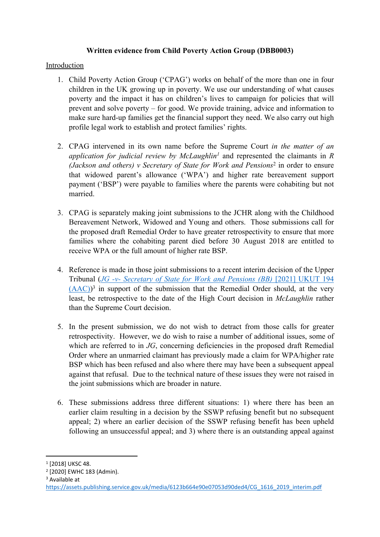### **Written evidence from Child Poverty Action Group (DBB0003)**

### Introduction

- 1. Child Poverty Action Group ('CPAG') works on behalf of the more than one in four children in the UK growing up in poverty. We use our understanding of what causes poverty and the impact it has on children's lives to campaign for policies that will prevent and solve poverty – for good. We provide training, advice and information to make sure hard-up families get the financial support they need. We also carry out high profile legal work to establish and protect families' rights.
- 2. CPAG intervened in its own name before the Supreme Court *in the matter of an application for judicial review by McLaughlin<sup>1</sup>* and represented the claimants in *R (Jackson and others) v Secretary of State for Work and Pensions*<sup>2</sup> in order to ensure that widowed parent's allowance ('WPA') and higher rate bereavement support payment ('BSP') were payable to families where the parents were cohabiting but not married.
- 3. CPAG is separately making joint submissions to the JCHR along with the Childhood Bereavement Network, Widowed and Young and others. Those submissions call for the proposed draft Remedial Order to have greater retrospectivity to ensure that more families where the cohabiting parent died before 30 August 2018 are entitled to receive WPA or the full amount of higher rate BSP.
- 4. Reference is made in those joint submissions to a recent interim decision of the Upper Tribunal (*[JG](https://assets.publishing.service.gov.uk/media/6123b664e90e07053d90ded4/CG_1616_2019_interim.pdf) [-v-](https://assets.publishing.service.gov.uk/media/6123b664e90e07053d90ded4/CG_1616_2019_interim.pdf) [Secretary](https://assets.publishing.service.gov.uk/media/6123b664e90e07053d90ded4/CG_1616_2019_interim.pdf) [of](https://assets.publishing.service.gov.uk/media/6123b664e90e07053d90ded4/CG_1616_2019_interim.pdf) [State](https://assets.publishing.service.gov.uk/media/6123b664e90e07053d90ded4/CG_1616_2019_interim.pdf) [for](https://assets.publishing.service.gov.uk/media/6123b664e90e07053d90ded4/CG_1616_2019_interim.pdf) [Work](https://assets.publishing.service.gov.uk/media/6123b664e90e07053d90ded4/CG_1616_2019_interim.pdf) [and](https://assets.publishing.service.gov.uk/media/6123b664e90e07053d90ded4/CG_1616_2019_interim.pdf) [Pensions](https://assets.publishing.service.gov.uk/media/6123b664e90e07053d90ded4/CG_1616_2019_interim.pdf) [\(BB\)](https://assets.publishing.service.gov.uk/media/6123b664e90e07053d90ded4/CG_1616_2019_interim.pdf)* [\[2021\]](https://assets.publishing.service.gov.uk/media/6123b664e90e07053d90ded4/CG_1616_2019_interim.pdf) [UKUT](https://assets.publishing.service.gov.uk/media/6123b664e90e07053d90ded4/CG_1616_2019_interim.pdf) [194](https://assets.publishing.service.gov.uk/media/6123b664e90e07053d90ded4/CG_1616_2019_interim.pdf)   $(AAC)$ <sup>3</sup> in support of the submission that the Remedial Order should, at the very least, be retrospective to the date of the High Court decision in *McLaughlin* rather than the Supreme Court decision.
- 5. In the present submission, we do not wish to detract from those calls for greater retrospectivity. However, we do wish to raise a number of additional issues, some of which are referred to in *JG*, concerning deficiencies in the proposed draft Remedial Order where an unmarried claimant has previously made a claim for WPA/higher rate BSP which has been refused and also where there may have been a subsequent appeal against that refusal. Due to the technical nature of these issues they were not raised in the joint submissions which are broader in nature.
- 6. These submissions address three different situations: 1) where there has been an earlier claim resulting in a decision by the SSWP refusing benefit but no subsequent appeal; 2) where an earlier decision of the SSWP refusing benefit has been upheld following an unsuccessful appeal; and 3) where there is an outstanding appeal against

<sup>1</sup> [2018] UKSC 48.

<sup>2</sup> [2020] EWHC 183 (Admin).

<sup>3</sup> Available at

[https://assets.publishing.service.gov.uk/media/6123b664e90e07053d90ded4/CG\\_1616\\_2019\\_interim.pdf](https://assets.publishing.service.gov.uk/media/6123b664e90e07053d90ded4/CG_1616_2019_interim.pdf)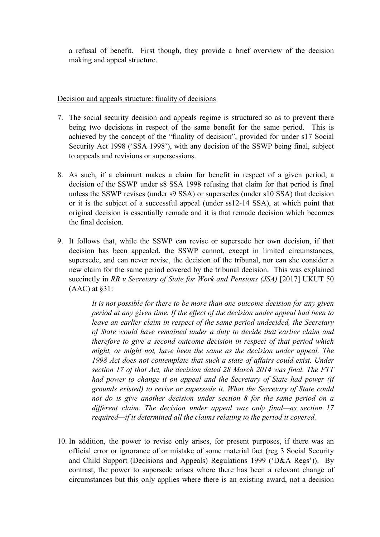a refusal of benefit. First though, they provide a brief overview of the decision making and appeal structure.

#### Decision and appeals structure: finality of decisions

- 7. The social security decision and appeals regime is structured so as to prevent there being two decisions in respect of the same benefit for the same period. This is achieved by the concept of the "finality of decision", provided for under s17 Social Security Act 1998 ('SSA 1998'), with any decision of the SSWP being final, subject to appeals and revisions or supersessions.
- 8. As such, if a claimant makes a claim for benefit in respect of a given period, a decision of the SSWP under s8 SSA 1998 refusing that claim for that period is final unless the SSWP revises (under s9 SSA) or supersedes (under s10 SSA) that decision or it is the subject of a successful appeal (under ss12-14 SSA), at which point that original decision is essentially remade and it is that remade decision which becomes the final decision.
- 9. It follows that, while the SSWP can revise or supersede her own decision, if that decision has been appealed, the SSWP cannot, except in limited circumstances, supersede, and can never revise, the decision of the tribunal, nor can she consider a new claim for the same period covered by the tribunal decision. This was explained succinctly in *RR v Secretary of State for Work and Pensions (JSA)* [2017] UKUT 50 (AAC) at §31:

*It is not possible for there to be more than one outcome decision for any given period at any given time. If the effect of the decision under appeal had been to leave an earlier claim in respect of the same period undecided, the Secretary of State would have remained under a duty to decide that earlier claim and therefore to give a second outcome decision in respect of that period which might, or might not, have been the same as the decision under appeal. The 1998 Act does not contemplate that such a state of affairs could exist. Under section 17 of that Act, the decision dated 28 March 2014 was final. The FTT had power to change it on appeal and the Secretary of State had power (if grounds existed) to revise or supersede it. What the Secretary of State could not do is give another decision under section 8 for the same period on a different claim. The decision under appeal was only final—as section 17 required—if it determined all the claims relating to the period it covered.*

10. In addition, the power to revise only arises, for present purposes, if there was an official error or ignorance of or mistake of some material fact (reg 3 Social Security and Child Support (Decisions and Appeals) Regulations 1999 ('D&A Regs')). By contrast, the power to supersede arises where there has been a relevant change of circumstances but this only applies where there is an existing award, not a decision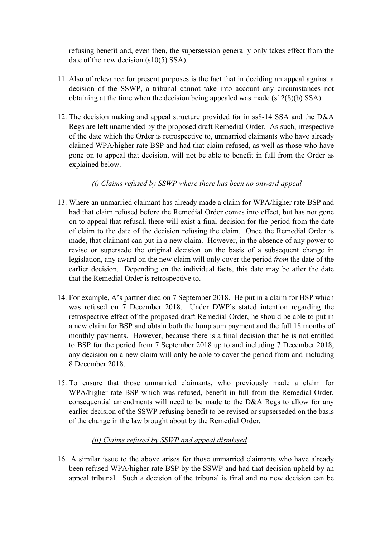refusing benefit and, even then, the supersession generally only takes effect from the date of the new decision (s10(5) SSA).

- 11. Also of relevance for present purposes is the fact that in deciding an appeal against a decision of the SSWP, a tribunal cannot take into account any circumstances not obtaining at the time when the decision being appealed was made (s12(8)(b) SSA).
- 12. The decision making and appeal structure provided for in ss8-14 SSA and the D&A Regs are left unamended by the proposed draft Remedial Order. As such, irrespective of the date which the Order is retrospective to, unmarried claimants who have already claimed WPA/higher rate BSP and had that claim refused, as well as those who have gone on to appeal that decision, will not be able to benefit in full from the Order as explained below.

### *(i) Claims refused by SSWP where there has been no onward appeal*

- 13. Where an unmarried claimant has already made a claim for WPA/higher rate BSP and had that claim refused before the Remedial Order comes into effect, but has not gone on to appeal that refusal, there will exist a final decision for the period from the date of claim to the date of the decision refusing the claim. Once the Remedial Order is made, that claimant can put in a new claim. However, in the absence of any power to revise or supersede the original decision on the basis of a subsequent change in legislation, any award on the new claim will only cover the period *from* the date of the earlier decision. Depending on the individual facts, this date may be after the date that the Remedial Order is retrospective to.
- 14. For example, A's partner died on 7 September 2018. He put in a claim for BSP which was refused on 7 December 2018. Under DWP's stated intention regarding the retrospective effect of the proposed draft Remedial Order, he should be able to put in a new claim for BSP and obtain both the lump sum payment and the full 18 months of monthly payments. However, because there is a final decision that he is not entitled to BSP for the period from 7 September 2018 up to and including 7 December 2018, any decision on a new claim will only be able to cover the period from and including 8 December 2018.
- 15. To ensure that those unmarried claimants, who previously made a claim for WPA/higher rate BSP which was refused, benefit in full from the Remedial Order, consequential amendments will need to be made to the D&A Regs to allow for any earlier decision of the SSWP refusing benefit to be revised or supserseded on the basis of the change in the law brought about by the Remedial Order.

### *(ii) Claims refused by SSWP and appeal dismissed*

16. A similar issue to the above arises for those unmarried claimants who have already been refused WPA/higher rate BSP by the SSWP and had that decision upheld by an appeal tribunal. Such a decision of the tribunal is final and no new decision can be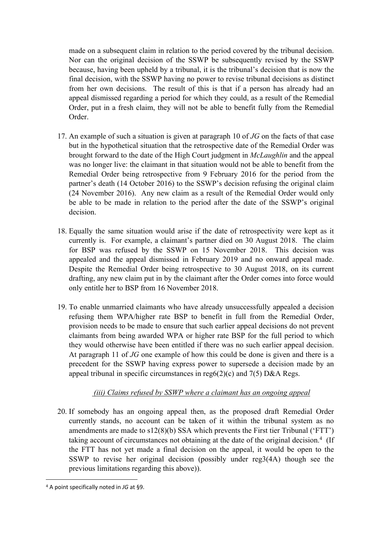made on a subsequent claim in relation to the period covered by the tribunal decision. Nor can the original decision of the SSWP be subsequently revised by the SSWP because, having been upheld by a tribunal, it is the tribunal's decision that is now the final decision, with the SSWP having no power to revise tribunal decisions as distinct from her own decisions. The result of this is that if a person has already had an appeal dismissed regarding a period for which they could, as a result of the Remedial Order, put in a fresh claim, they will not be able to benefit fully from the Remedial Order.

- 17. An example of such a situation is given at paragraph 10 of *JG* on the facts of that case but in the hypothetical situation that the retrospective date of the Remedial Order was brought forward to the date of the High Court judgment in *McLaughlin* and the appeal was no longer live: the claimant in that situation would not be able to benefit from the Remedial Order being retrospective from 9 February 2016 for the period from the partner's death (14 October 2016) to the SSWP's decision refusing the original claim (24 November 2016). Any new claim as a result of the Remedial Order would only be able to be made in relation to the period after the date of the SSWP's original decision.
- 18. Equally the same situation would arise if the date of retrospectivity were kept as it currently is. For example, a claimant's partner died on 30 August 2018. The claim for BSP was refused by the SSWP on 15 November 2018. This decision was appealed and the appeal dismissed in February 2019 and no onward appeal made. Despite the Remedial Order being retrospective to 30 August 2018, on its current drafting, any new claim put in by the claimant after the Order comes into force would only entitle her to BSP from 16 November 2018.
- 19. To enable unmarried claimants who have already unsuccessfully appealed a decision refusing them WPA/higher rate BSP to benefit in full from the Remedial Order, provision needs to be made to ensure that such earlier appeal decisions do not prevent claimants from being awarded WPA or higher rate BSP for the full period to which they would otherwise have been entitled if there was no such earlier appeal decision. At paragraph 11 of *JG* one example of how this could be done is given and there is a precedent for the SSWP having express power to supersede a decision made by an appeal tribunal in specific circumstances in reg $6(2)(c)$  and  $7(5)$  D&A Regs.

# *(iii) Claims refused by SSWP where a claimant has an ongoing appeal*

20. If somebody has an ongoing appeal then, as the proposed draft Remedial Order currently stands, no account can be taken of it within the tribunal system as no amendments are made to s12(8)(b) SSA which prevents the First tier Tribunal ('FTT') taking account of circumstances not obtaining at the date of the original decision.<sup>4</sup> (If the FTT has not yet made a final decision on the appeal, it would be open to the SSWP to revise her original decision (possibly under reg3(4A) though see the previous limitations regarding this above)).

<sup>4</sup> A point specifically noted in *JG* at §9.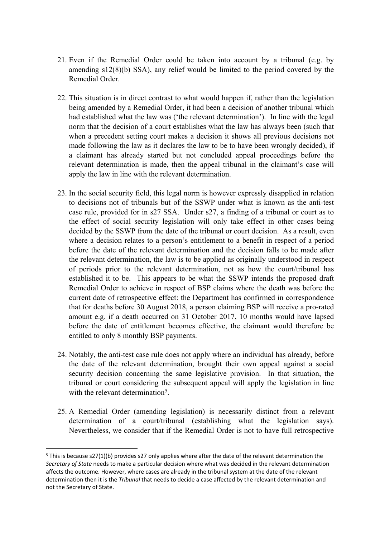- 21. Even if the Remedial Order could be taken into account by a tribunal (e.g. by amending s12(8)(b) SSA), any relief would be limited to the period covered by the Remedial Order.
- 22. This situation is in direct contrast to what would happen if, rather than the legislation being amended by a Remedial Order, it had been a decision of another tribunal which had established what the law was ('the relevant determination'). In line with the legal norm that the decision of a court establishes what the law has always been (such that when a precedent setting court makes a decision it shows all previous decisions not made following the law as it declares the law to be to have been wrongly decided), if a claimant has already started but not concluded appeal proceedings before the relevant determination is made, then the appeal tribunal in the claimant's case will apply the law in line with the relevant determination.
- 23. In the social security field, this legal norm is however expressly disapplied in relation to decisions not of tribunals but of the SSWP under what is known as the anti-test case rule, provided for in s27 SSA. Under s27, a finding of a tribunal or court as to the effect of social security legislation will only take effect in other cases being decided by the SSWP from the date of the tribunal or court decision. As a result, even where a decision relates to a person's entitlement to a benefit in respect of a period before the date of the relevant determination and the decision falls to be made after the relevant determination, the law is to be applied as originally understood in respect of periods prior to the relevant determination, not as how the court/tribunal has established it to be. This appears to be what the SSWP intends the proposed draft Remedial Order to achieve in respect of BSP claims where the death was before the current date of retrospective effect: the Department has confirmed in correspondence that for deaths before 30 August 2018, a person claiming BSP will receive a pro-rated amount e.g. if a death occurred on 31 October 2017, 10 months would have lapsed before the date of entitlement becomes effective, the claimant would therefore be entitled to only 8 monthly BSP payments.
- 24. Notably, the anti-test case rule does not apply where an individual has already, before the date of the relevant determination, brought their own appeal against a social security decision concerning the same legislative provision. In that situation, the tribunal or court considering the subsequent appeal will apply the legislation in line with the relevant determination<sup>5</sup>.
- 25. A Remedial Order (amending legislation) is necessarily distinct from a relevant determination of a court/tribunal (establishing what the legislation says). Nevertheless, we consider that if the Remedial Order is not to have full retrospective

<sup>5</sup> This is because s27(1)(b) provides s27 only applies where after the date of the relevant determination the *Secretary of State* needs to make a particular decision where what was decided in the relevant determination affects the outcome. However, where cases are already in the tribunal system at the date of the relevant determination then it is the *Tribunal* that needs to decide a case affected by the relevant determination and not the Secretary of State.